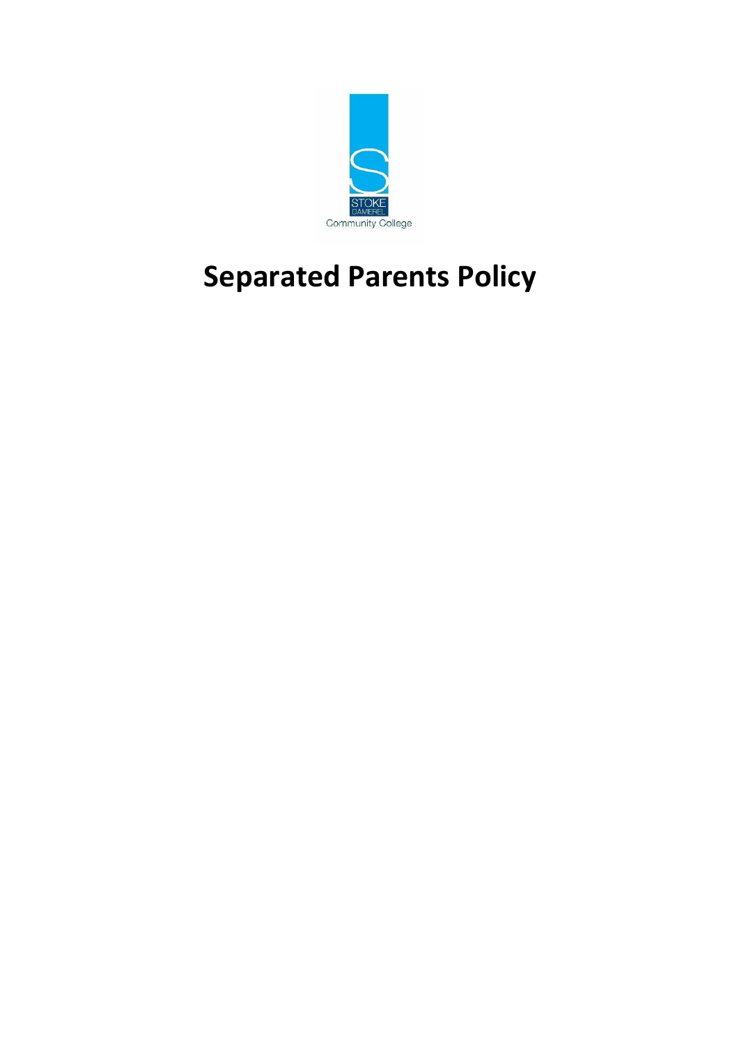

# **Separated Parents Policy**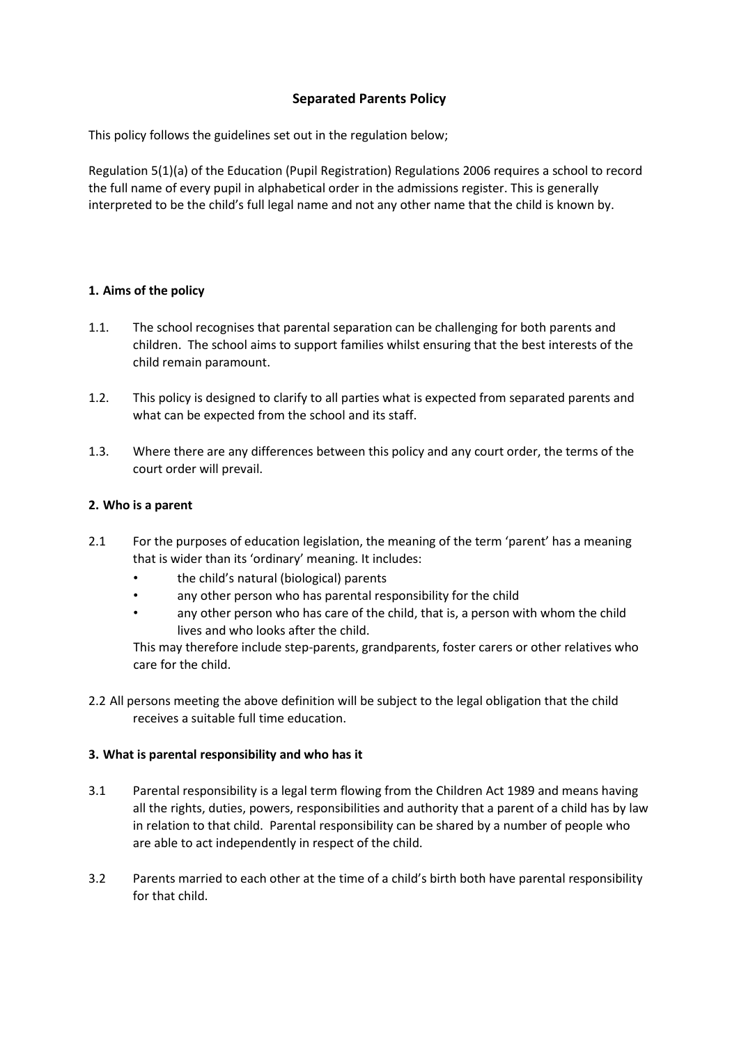# **Separated Parents Policy**

This policy follows the guidelines set out in the regulation below;

Regulation 5(1)(a) of the Education (Pupil Registration) Regulations 2006 requires a school to record the full name of every pupil in alphabetical order in the admissions register. This is generally interpreted to be the child's full legal name and not any other name that the child is known by.

# **1. Aims of the policy**

- 1.1. The school recognises that parental separation can be challenging for both parents and children. The school aims to support families whilst ensuring that the best interests of the child remain paramount.
- 1.2. This policy is designed to clarify to all parties what is expected from separated parents and what can be expected from the school and its staff.
- 1.3. Where there are any differences between this policy and any court order, the terms of the court order will prevail.

#### **2. Who is a parent**

- 2.1 For the purposes of education legislation, the meaning of the term 'parent' has a meaning that is wider than its 'ordinary' meaning. It includes:
	- the child's natural (biological) parents
	- any other person who has parental responsibility for the child
	- any other person who has care of the child, that is, a person with whom the child lives and who looks after the child.

This may therefore include step-parents, grandparents, foster carers or other relatives who care for the child.

2.2 All persons meeting the above definition will be subject to the legal obligation that the child receives a suitable full time education.

#### **3. What is parental responsibility and who has it**

- 3.1 Parental responsibility is a legal term flowing from the Children Act 1989 and means having all the rights, duties, powers, responsibilities and authority that a parent of a child has by law in relation to that child. Parental responsibility can be shared by a number of people who are able to act independently in respect of the child.
- 3.2 Parents married to each other at the time of a child's birth both have parental responsibility for that child.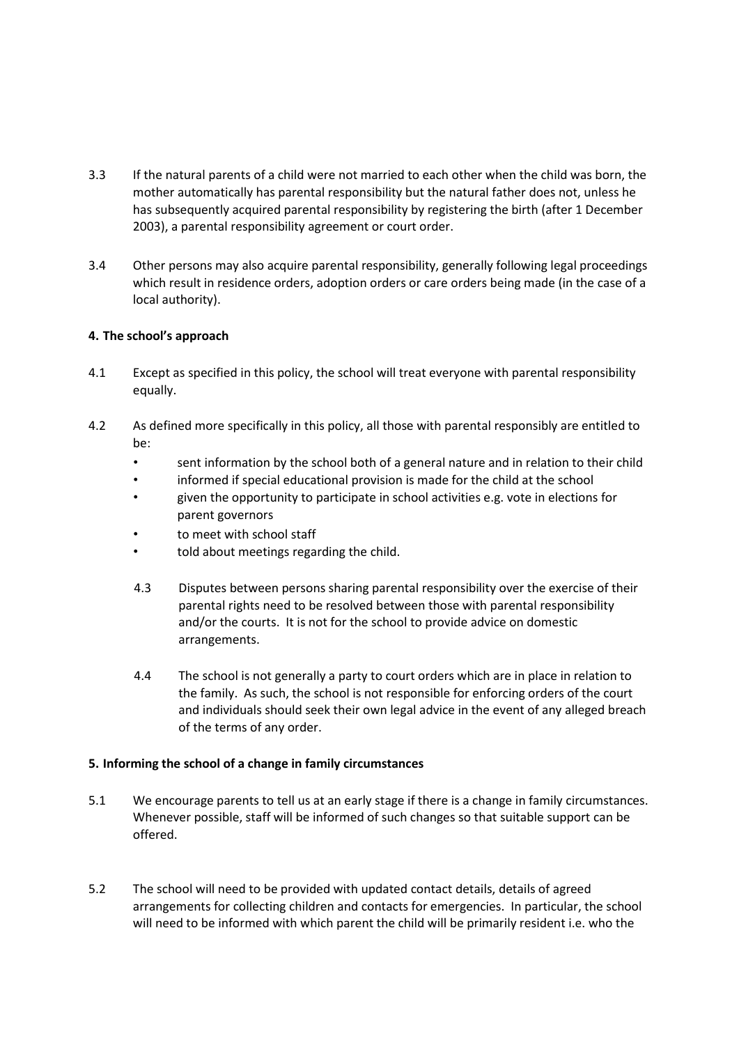- 3.3 If the natural parents of a child were not married to each other when the child was born, the mother automatically has parental responsibility but the natural father does not, unless he has subsequently acquired parental responsibility by registering the birth (after 1 December 2003), a parental responsibility agreement or court order.
- 3.4 Other persons may also acquire parental responsibility, generally following legal proceedings which result in residence orders, adoption orders or care orders being made (in the case of a local authority).

# **4. The school's approach**

- 4.1 Except as specified in this policy, the school will treat everyone with parental responsibility equally.
- 4.2 As defined more specifically in this policy, all those with parental responsibly are entitled to be:
	- sent information by the school both of a general nature and in relation to their child
	- informed if special educational provision is made for the child at the school
	- given the opportunity to participate in school activities e.g. vote in elections for parent governors
	- to meet with school staff
	- told about meetings regarding the child.
	- 4.3 Disputes between persons sharing parental responsibility over the exercise of their parental rights need to be resolved between those with parental responsibility and/or the courts. It is not for the school to provide advice on domestic arrangements.
	- 4.4 The school is not generally a party to court orders which are in place in relation to the family. As such, the school is not responsible for enforcing orders of the court and individuals should seek their own legal advice in the event of any alleged breach of the terms of any order.

#### **5. Informing the school of a change in family circumstances**

- 5.1 We encourage parents to tell us at an early stage if there is a change in family circumstances. Whenever possible, staff will be informed of such changes so that suitable support can be offered.
- 5.2 The school will need to be provided with updated contact details, details of agreed arrangements for collecting children and contacts for emergencies. In particular, the school will need to be informed with which parent the child will be primarily resident i.e. who the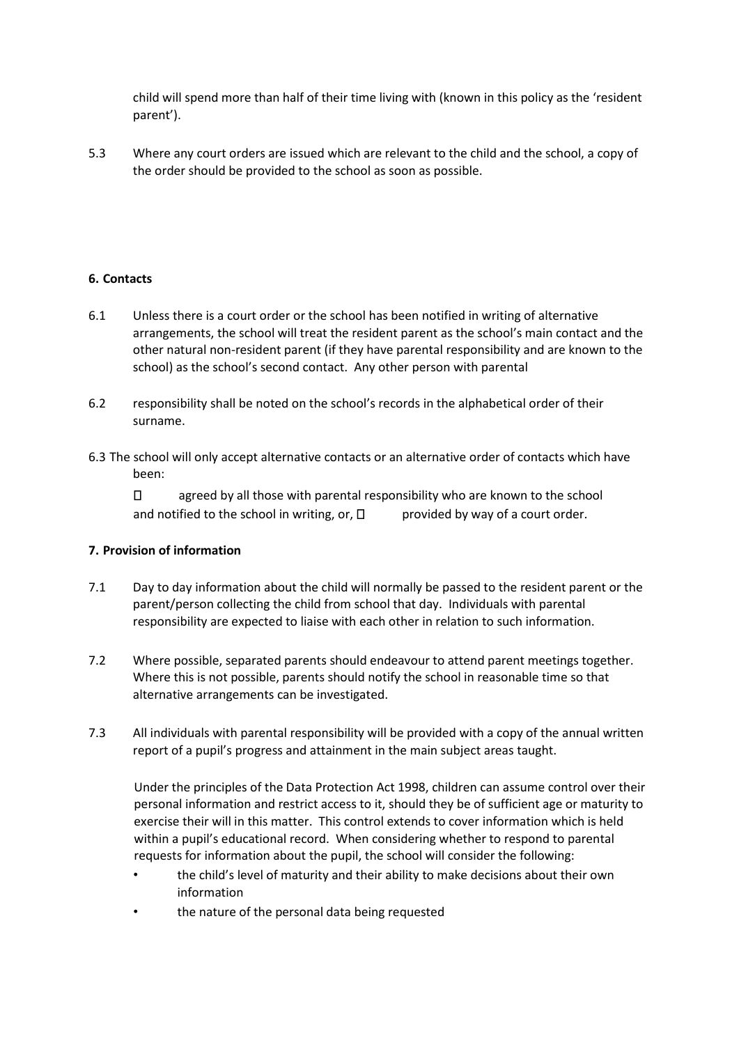child will spend more than half of their time living with (known in this policy as the 'resident parent').

5.3 Where any court orders are issued which are relevant to the child and the school, a copy of the order should be provided to the school as soon as possible.

# **6. Contacts**

- 6.1 Unless there is a court order or the school has been notified in writing of alternative arrangements, the school will treat the resident parent as the school's main contact and the other natural non-resident parent (if they have parental responsibility and are known to the school) as the school's second contact. Any other person with parental
- 6.2 responsibility shall be noted on the school's records in the alphabetical order of their surname.
- 6.3 The school will only accept alternative contacts or an alternative order of contacts which have been:

 $\Box$ agreed by all those with parental responsibility who are known to the school and notified to the school in writing, or,  $\Box$  provided by way of a court order.

#### **7. Provision of information**

- 7.1 Day to day information about the child will normally be passed to the resident parent or the parent/person collecting the child from school that day. Individuals with parental responsibility are expected to liaise with each other in relation to such information.
- 7.2 Where possible, separated parents should endeavour to attend parent meetings together. Where this is not possible, parents should notify the school in reasonable time so that alternative arrangements can be investigated.
- 7.3 All individuals with parental responsibility will be provided with a copy of the annual written report of a pupil's progress and attainment in the main subject areas taught.

Under the principles of the Data Protection Act 1998, children can assume control over their personal information and restrict access to it, should they be of sufficient age or maturity to exercise their will in this matter. This control extends to cover information which is held within a pupil's educational record. When considering whether to respond to parental requests for information about the pupil, the school will consider the following:

- the child's level of maturity and their ability to make decisions about their own information
- the nature of the personal data being requested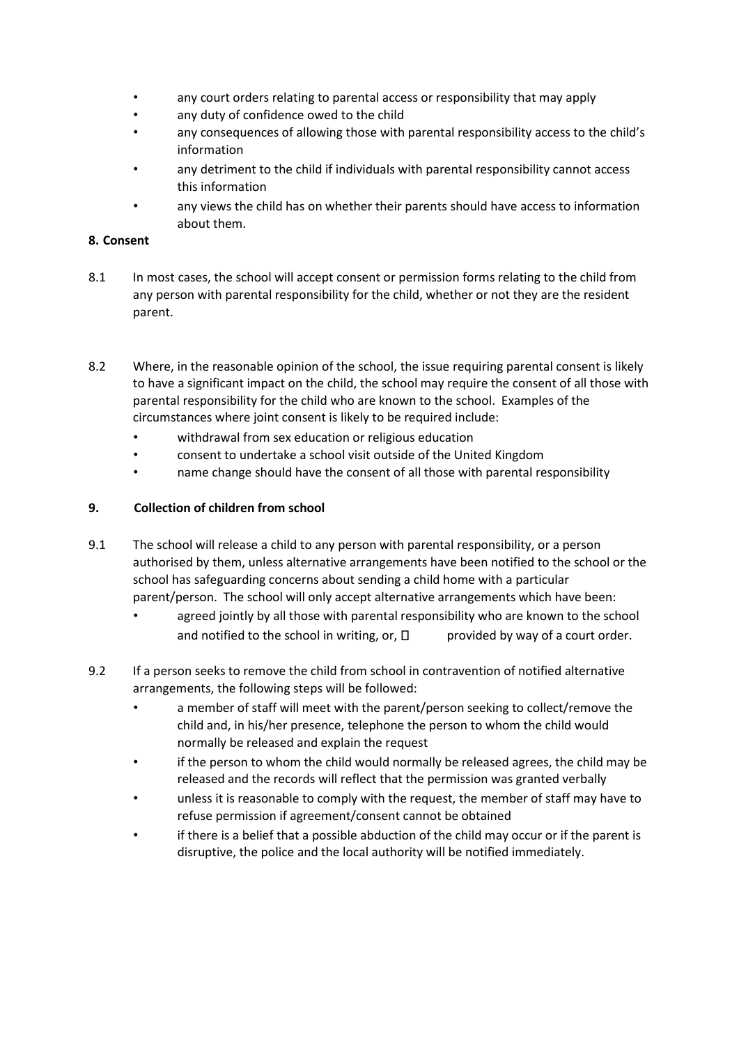- any court orders relating to parental access or responsibility that may apply
- any duty of confidence owed to the child
- any consequences of allowing those with parental responsibility access to the child's information
- any detriment to the child if individuals with parental responsibility cannot access this information
- any views the child has on whether their parents should have access to information about them.

#### **8. Consent**

- 8.1 In most cases, the school will accept consent or permission forms relating to the child from any person with parental responsibility for the child, whether or not they are the resident parent.
- 8.2 Where, in the reasonable opinion of the school, the issue requiring parental consent is likely to have a significant impact on the child, the school may require the consent of all those with parental responsibility for the child who are known to the school. Examples of the circumstances where joint consent is likely to be required include:
	- withdrawal from sex education or religious education
	- consent to undertake a school visit outside of the United Kingdom
	- name change should have the consent of all those with parental responsibility

#### **9. Collection of children from school**

- 9.1 The school will release a child to any person with parental responsibility, or a person authorised by them, unless alternative arrangements have been notified to the school or the school has safeguarding concerns about sending a child home with a particular parent/person. The school will only accept alternative arrangements which have been:
	- agreed jointly by all those with parental responsibility who are known to the school and notified to the school in writing, or,  $\Box$  provided by way of a court order.
- 9.2 If a person seeks to remove the child from school in contravention of notified alternative arrangements, the following steps will be followed:
	- a member of staff will meet with the parent/person seeking to collect/remove the child and, in his/her presence, telephone the person to whom the child would normally be released and explain the request
	- if the person to whom the child would normally be released agrees, the child may be released and the records will reflect that the permission was granted verbally
	- unless it is reasonable to comply with the request, the member of staff may have to refuse permission if agreement/consent cannot be obtained
	- if there is a belief that a possible abduction of the child may occur or if the parent is disruptive, the police and the local authority will be notified immediately.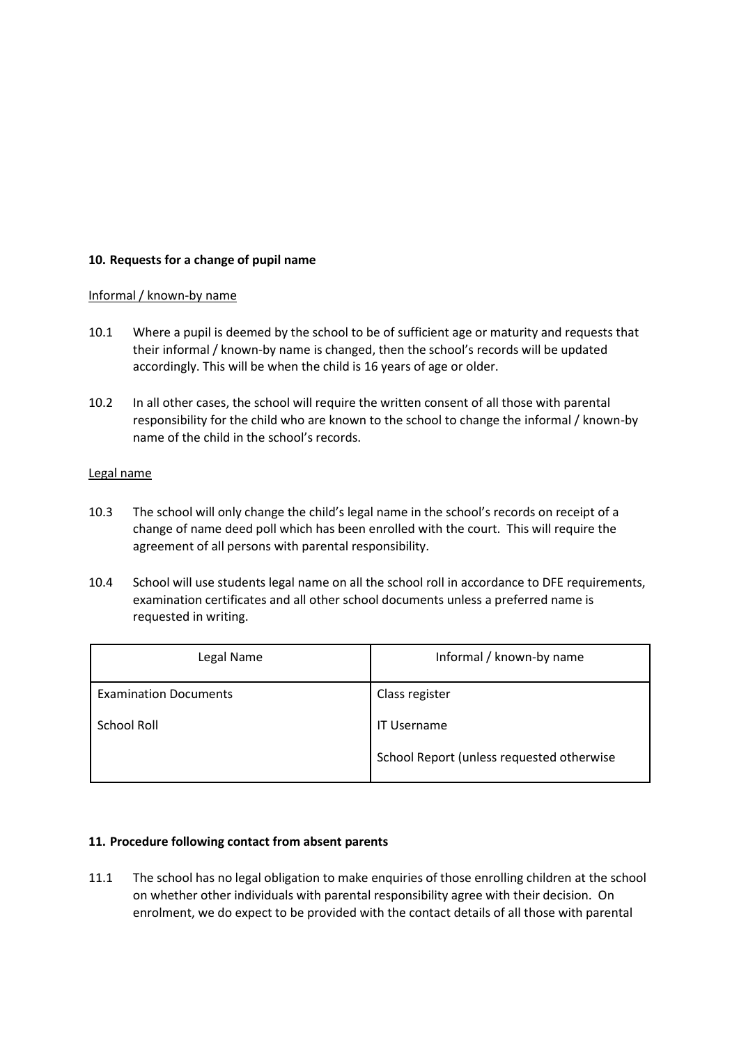# **10. Requests for a change of pupil name**

#### Informal / known-by name

- 10.1 Where a pupil is deemed by the school to be of sufficient age or maturity and requests that their informal / known-by name is changed, then the school's records will be updated accordingly. This will be when the child is 16 years of age or older.
- 10.2 In all other cases, the school will require the written consent of all those with parental responsibility for the child who are known to the school to change the informal / known-by name of the child in the school's records.

#### Legal name

- 10.3 The school will only change the child's legal name in the school's records on receipt of a change of name deed poll which has been enrolled with the court. This will require the agreement of all persons with parental responsibility.
- 10.4 School will use students legal name on all the school roll in accordance to DFE requirements, examination certificates and all other school documents unless a preferred name is requested in writing.

| Legal Name                   | Informal / known-by name                  |
|------------------------------|-------------------------------------------|
| <b>Examination Documents</b> | Class register                            |
| School Roll                  | <b>IT Username</b>                        |
|                              | School Report (unless requested otherwise |

#### **11. Procedure following contact from absent parents**

11.1 The school has no legal obligation to make enquiries of those enrolling children at the school on whether other individuals with parental responsibility agree with their decision. On enrolment, we do expect to be provided with the contact details of all those with parental